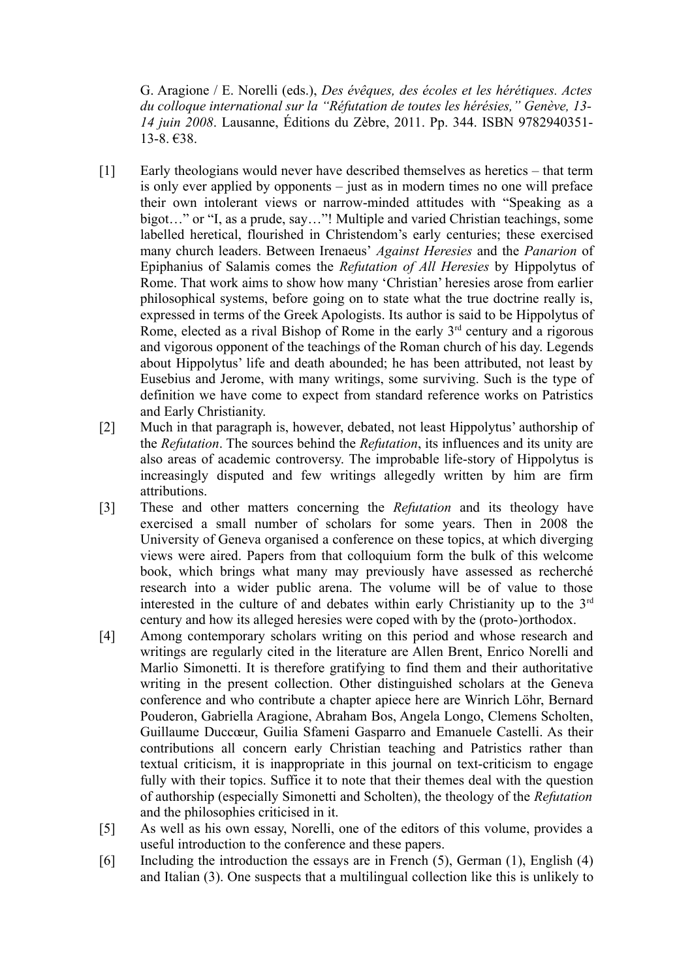G. Aragione / E. Norelli (eds.), *Des évêques, des écoles et les hérétiques. Actes du colloque international sur la "Réfutation de toutes les hérésies," Genève, 13- 14 juin 2008*. Lausanne, Éditions du Zèbre, 2011. Pp. 344. ISBN 9782940351- 13-8. €38.

- [1] Early theologians would never have described themselves as heretics that term is only ever applied by opponents – just as in modern times no one will preface their own intolerant views or narrow-minded attitudes with "Speaking as a bigot…" or "I, as a prude, say…"! Multiple and varied Christian teachings, some labelled heretical, flourished in Christendom's early centuries; these exercised many church leaders. Between Irenaeus' *Against Heresies* and the *Panarion* of Epiphanius of Salamis comes the *Refutation of All Heresies* by Hippolytus of Rome. That work aims to show how many 'Christian' heresies arose from earlier philosophical systems, before going on to state what the true doctrine really is, expressed in terms of the Greek Apologists. Its author is said to be Hippolytus of Rome, elected as a rival Bishop of Rome in the early  $3<sup>rd</sup>$  century and a rigorous and vigorous opponent of the teachings of the Roman church of his day. Legends about Hippolytus' life and death abounded; he has been attributed, not least by Eusebius and Jerome, with many writings, some surviving. Such is the type of definition we have come to expect from standard reference works on Patristics and Early Christianity.
- [2] Much in that paragraph is, however, debated, not least Hippolytus' authorship of the *Refutation*. The sources behind the *Refutation*, its influences and its unity are also areas of academic controversy. The improbable life-story of Hippolytus is increasingly disputed and few writings allegedly written by him are firm attributions.
- [3] These and other matters concerning the *Refutation* and its theology have exercised a small number of scholars for some years. Then in 2008 the University of Geneva organised a conference on these topics, at which diverging views were aired. Papers from that colloquium form the bulk of this welcome book, which brings what many may previously have assessed as recherché research into a wider public arena. The volume will be of value to those interested in the culture of and debates within early Christianity up to the  $3<sup>rd</sup>$ century and how its alleged heresies were coped with by the (proto-)orthodox.
- [4] Among contemporary scholars writing on this period and whose research and writings are regularly cited in the literature are Allen Brent, Enrico Norelli and Marlio Simonetti. It is therefore gratifying to find them and their authoritative writing in the present collection. Other distinguished scholars at the Geneva conference and who contribute a chapter apiece here are Winrich Löhr, Bernard Pouderon, Gabriella Aragione, Abraham Bos, Angela Longo, Clemens Scholten, Guillaume Duccœur, Guilia Sfameni Gasparro and Emanuele Castelli. As their contributions all concern early Christian teaching and Patristics rather than textual criticism, it is inappropriate in this journal on text-criticism to engage fully with their topics. Suffice it to note that their themes deal with the question of authorship (especially Simonetti and Scholten), the theology of the *Refutation* and the philosophies criticised in it.
- [5] As well as his own essay, Norelli, one of the editors of this volume, provides a useful introduction to the conference and these papers.
- [6] Including the introduction the essays are in French (5), German (1), English (4) and Italian (3). One suspects that a multilingual collection like this is unlikely to